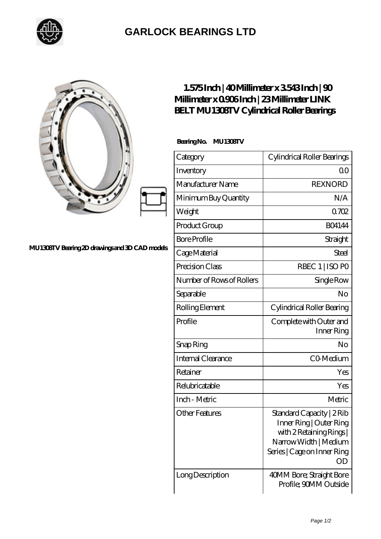

## **[GARLOCK BEARINGS LTD](https://m.letterstopriests.com)**

## **[MU1308TV Bearing 2D drawings and 3D CAD models](https://m.letterstopriests.com/pic-188488.html)**

## **[1.575 Inch | 40 Millimeter x 3.543 Inch | 90](https://m.letterstopriests.com/bb-188488-link-belt-mu1308tv-cylindrical-roller-bearings.html) [Millimeter x 0.906 Inch | 23 Millimeter LINK](https://m.letterstopriests.com/bb-188488-link-belt-mu1308tv-cylindrical-roller-bearings.html) [BELT MU1308TV Cylindrical Roller Bearings](https://m.letterstopriests.com/bb-188488-link-belt-mu1308tv-cylindrical-roller-bearings.html)**

 **Bearing No. MU1308TV**

| Category                  | Cylindrical Roller Bearings                                                                                                                  |
|---------------------------|----------------------------------------------------------------------------------------------------------------------------------------------|
| Inventory                 | Q0                                                                                                                                           |
| Manufacturer Name         | <b>REXNORD</b>                                                                                                                               |
| Minimum Buy Quantity      | N/A                                                                                                                                          |
| Weight                    | 0702                                                                                                                                         |
| Product Group             | <b>BO4144</b>                                                                                                                                |
| <b>Bore Profile</b>       | Straight                                                                                                                                     |
| Cage Material             | Steel                                                                                                                                        |
| Precision Class           | RBEC 1   ISO PO                                                                                                                              |
| Number of Rows of Rollers | Single Row                                                                                                                                   |
| Separable                 | No                                                                                                                                           |
| Rolling Element           | Cylindrical Roller Bearing                                                                                                                   |
| Profile                   | Complete with Outer and<br>Inner Ring                                                                                                        |
| Snap Ring                 | No                                                                                                                                           |
| <b>Internal Clearance</b> | CO-Medium                                                                                                                                    |
| Retainer                  | Yes                                                                                                                                          |
| Relubricatable            | Yes                                                                                                                                          |
| Inch - Metric             | Metric                                                                                                                                       |
| <b>Other Features</b>     | Standard Capacity   2 Rib<br>Inner Ring   Outer Ring<br>with 2 Retaining Rings<br>Narrow Width   Medium<br>Series   Cage on Inner Ring<br>OD |
| Long Description          | 40MM Bore; Straight Bore<br>Profile; 90MM Outside                                                                                            |